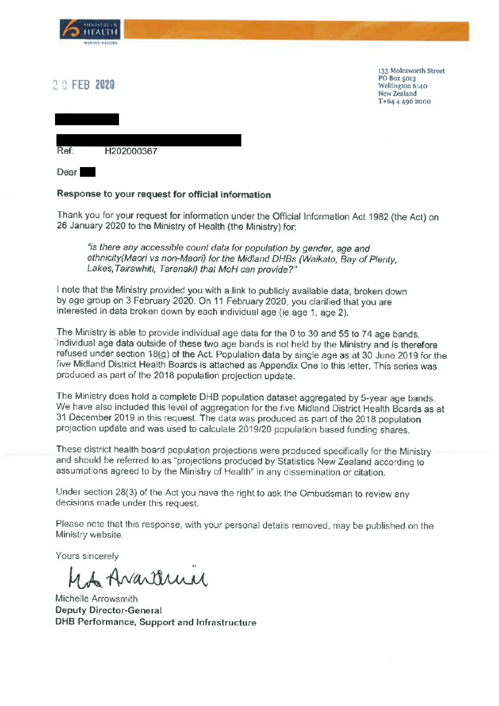

## 2 9 FEB 2020

133 Molesworth Street **PO Box 5013** Wellington 6140 New Zealand T+64 4 496 2000

Ref: H202000367

**Dear** 

## Response to your request for official information

Thank you for your request for information under the Official Information Act 1982 (the Act) on 26 January 2020 to the Ministry of Health (the Ministry) for:

"is there any accessible count data for population by gender, age and ethnicity(Maori vs non-Maori) for the Midland DHBs (Waikato, Bay of Plenty, Lakes, Tairawhiti, Taranaki) that MoH can provide?"

I note that the Ministry provided you with a link to publicly available data, broken down by age group on 3 February 2020. On 11 February 2020, you clarified that you are interested in data broken down by each individual age (ie age 1, age 2).

The Ministry is able to provide individual age data for the 0 to 30 and 55 to 74 age bands. Individual age data outside of these two age bands is not held by the Ministry and is therefore refused under section 18(g) of the Act. Population data by single age as at 30 June 2019 for the five Midland District Health Boards is attached as Appendix One to this letter. This series was produced as part of the 2018 population projection update.

The Ministry does hold a complete DHB population dataset aggregated by 5-year age bands. We have also included this level of aggregation for the five Midland District Health Boards as at 31 December 2019 in this request. The data was produced as part of the 2018 population projection update and was used to calculate 2019/20 population based funding shares.

These district health board population projections were produced specifically for the Ministry and should be referred to as "projections produced by Statistics New Zealand according to assumptions agreed to by the Ministry of Health" in any dissemination or citation.

Under section 28(3) of the Act you have the right to ask the Ombudsman to review any decisions made under this request.

Please note that this response, with your personal details removed, may be published on the Ministry website.

Yours sincerely

1 Avartemn

Michelle Arrowsmith Deputy Director-General DHB Performance, Support and Infrastructure